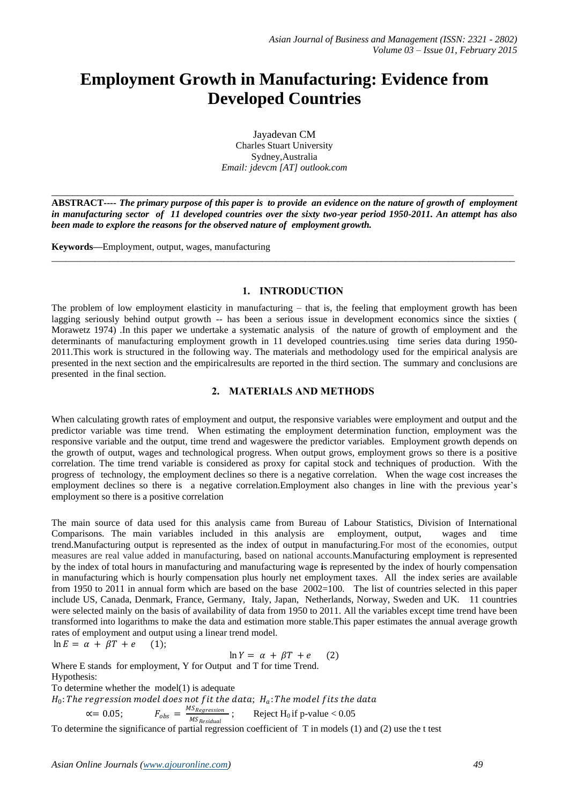# **Employment Growth in Manufacturing: Evidence from Developed Countries**

Jayadevan CM Charles Stuart University Sydney,Australia *Email: jdevcm [AT] outlook.com*

**ABSTRACT----** *The primary purpose of this paper is to provide an evidence on the nature of growth of employment in manufacturing sector of 11 developed countries over the sixty two-year period 1950-2011. An attempt has also been made to explore the reasons for the observed nature of employment growth.* 

\_\_\_\_\_\_\_\_\_\_\_\_\_\_\_\_\_\_\_\_\_\_\_\_\_\_\_\_\_\_\_\_\_\_\_\_\_\_\_\_\_\_\_\_\_\_\_\_\_\_\_\_\_\_\_\_\_\_\_\_\_\_\_\_\_\_\_\_\_\_\_\_\_\_\_\_\_\_\_\_\_\_\_\_\_\_\_\_\_\_\_\_\_\_\_\_\_

\_\_\_\_\_\_\_\_\_\_\_\_\_\_\_\_\_\_\_\_\_\_\_\_\_\_\_\_\_\_\_\_\_\_\_\_\_\_\_\_\_\_\_\_\_\_\_\_\_\_\_\_\_\_\_\_\_\_\_\_\_\_\_\_\_\_\_\_\_\_\_\_\_\_\_\_\_\_\_\_\_\_\_\_\_\_\_\_

**Keywords—**Employment, output, wages, manufacturing

## **1. INTRODUCTION**

The problem of low employment elasticity in manufacturing – that is, the feeling that employment growth has been lagging seriously behind output growth -- has been a serious issue in development economics since the sixties ( Morawetz 1974) .In this paper we undertake a systematic analysis of the nature of growth of employment and the determinants of manufacturing employment growth in 11 developed countries.using time series data during 1950- 2011.This work is structured in the following way. The materials and methodology used for the empirical analysis are presented in the next section and the empiricalresults are reported in the third section. The summary and conclusions are presented in the final section.

## **2. MATERIALS AND METHODS**

When calculating growth rates of employment and output, the responsive variables were employment and output and the predictor variable was time trend. When estimating the employment determination function, employment was the responsive variable and the output, time trend and wageswere the predictor variables. Employment growth depends on the growth of output, wages and technological progress. When output grows, employment grows so there is a positive correlation. The time trend variable is considered as proxy for capital stock and techniques of production. With the progress of technology, the employment declines so there is a negative correlation. When the wage cost increases the employment declines so there is a negative correlation.Employment also changes in line with the previous year's employment so there is a positive correlation

The main source of data used for this analysis came from Bureau of Labour Statistics, Division of International Comparisons. The main variables included in this analysis are employment, output, wages and time trend.Manufacturing output is represented as the index of output in manufacturing.For most of the economies, output measures are real value added in manufacturing, based on national accounts.Manufacturing employment is represented by the index of total hours in manufacturing and manufacturing wage **i**s represented by the index of hourly compensation in manufacturing which is hourly compensation plus hourly net employment taxes. All the index series are available from 1950 to 2011 in annual form which are based on the base 2002=100. The list of countries selected in this paper include US, Canada, Denmark, France, Germany, Italy, Japan, Netherlands, Norway, Sweden and UK. 11 countries were selected mainly on the basis of availability of data from 1950 to 2011. All the variables except time trend have been transformed into logarithms to make the data and estimation more stable.This paper estimates the annual average growth rates of employment and output using a linear trend model.  $\ln E =$ 

$$
\alpha + \beta T + e \qquad (1);
$$

$$
\ln Y = \alpha + \beta T + e \qquad (2)
$$

Where E stands for employment, Y for Output and T for time Trend. Hypothesis:

To determine whether the model(1) is adequate

H $_0$ : The regression model does not f it the data;  $\,H_a$ : The model f its the data

 $\propto$  = 0.05;  $F_{obs} = \frac{MS_{Regression}}{MS_{D}}$ MS <sub>Residual</sub> Reject  $H_0$  if p-value  $< 0.05$ 

To determine the significance of partial regression coefficient of T in models (1) and (2) use the t test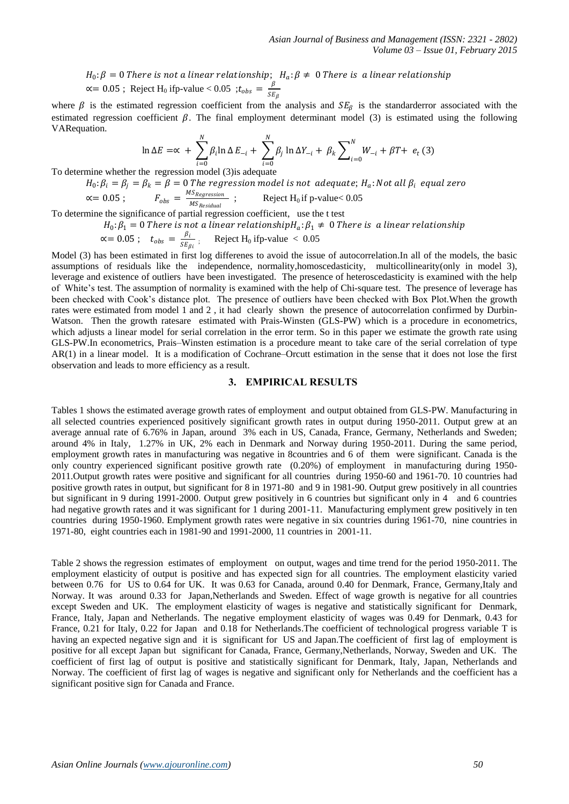$H_0$ :  $\beta = 0$  There is not a linear relationship;  $H_a$ :  $\beta \neq 0$  There is  $\alpha$  linear relationship  $\alpha$  = 0.05; Reject H<sub>0</sub> if p-value < 0.05;  $t_{obs} = \frac{\beta}{\alpha R}$  $SE_{\beta}$ 

where  $\beta$  is the estimated regression coefficient from the analysis and  $SE_\beta$  is the standarderror associated with the estimated regression coefficient  $\beta$ . The final employment determinant model (3) is estimated using the following VARequation.

$$
\ln \Delta E = \propto + \sum_{i=0}^{N} \beta_i \ln \Delta E_{-i} + \sum_{i=0}^{N} \beta_j \ln \Delta Y_{-i} + \beta_k \sum_{i=0}^{N} W_{-i} + \beta T + e_t \tag{3}
$$

To determine whether the regression model (3) is adequate

$$
H_0: \beta_i = \beta_j = \beta_k = \beta = 0
$$
 The regression model is not adequate;  $H_a$ : Not all  $\beta_i$  equal zero  
 $\propto$ = 0.05;  $F_{obs} = \frac{M_{S_{Regression}}}{M_{S_{Residual}}}$ ; Reject  $H_0$  if p-value<0.05

To determine the significance of partial regression coefficient, use the t test

 $H_0$ :  $\beta_1=0$  There is not a linear relationship $H_a$ :  $\beta_1\neq~0$  There is  $~a$  linear relationship

$$
\propto
$$
 = 0.05 ;  $t_{obs} = \frac{\beta_i}{SE_{\beta i}}$ ; Reject H<sub>0</sub> ifp-value < 0.05

Model (3) has been estimated in first log differenes to avoid the issue of autocorrelation.In all of the models, the basic assumptions of residuals like the independence, normality,homoscedasticity, multicollinearity(only in model 3), leverage and existence of outliers have been investigated. The presence of heteroscedasticity is examined with the help of White's test. The assumption of normality is examined with the help of Chi-square test. The presence of leverage has been checked with Cook's distance plot. The presence of outliers have been checked with Box Plot.When the growth rates were estimated from model 1 and 2 , it had clearly shown the presence of autocorrelation confirmed by Durbin-Watson. Then the growth ratesare estimated with Prais-Winsten (GLS-PW) which is a procedure in econometrics, which adjusts a linear model for serial correlation in the error term. So in this paper we estimate the growth rate using GLS-PW.In [econometrics,](http://en.wikipedia.org/wiki/Econometrics) Prais–Winsten estimation is a procedure meant to take care of the [serial correlation](http://en.wikipedia.org/wiki/Autocorrelation) of type [AR\(1\)](http://en.wikipedia.org/wiki/Autoregressive_model#Example:_An_AR.281.29_process) in a [linear model.](http://en.wikipedia.org/wiki/Linear_model) It is a modification of [Cochrane–Orcutt estimation](http://en.wikipedia.org/wiki/Cochrane%E2%80%93Orcutt_estimation) in the sense that it does not lose the first observation and leads to more [efficiency](http://en.wikipedia.org/wiki/Efficiency_(statistics)) as a result.

## **3. EMPIRICAL RESULTS**

Tables 1 shows the estimated average growth rates of employment and output obtained from GLS-PW. Manufacturing in all selected countries experienced positively significant growth rates in output during 1950-2011. Output grew at an average annual rate of 6.76% in Japan, around 3% each in US, Canada, France, Germany, Netherlands and Sweden; around 4% in Italy, 1.27% in UK, 2% each in Denmark and Norway during 1950-2011. During the same period, employment growth rates in manufacturing was negative in 8countries and 6 of them were significant. Canada is the only country experienced significant positive growth rate (0.20%) of employment in manufacturing during 1950- 2011.Output growth rates were positive and significant for all countries during 1950-60 and 1961-70. 10 countries had positive growth rates in output, but significant for 8 in 1971-80 and 9 in 1981-90. Output grew positively in all countries but significant in 9 during 1991-2000. Output grew positively in 6 countries but significant only in 4 and 6 countries had negative growth rates and it was significant for 1 during 2001-11. Manufacturing emplyment grew positively in ten countries during 1950-1960. Emplyment growth rates were negative in six countries during 1961-70, nine countries in 1971-80, eight countries each in 1981-90 and 1991-2000, 11 countries in 2001-11.

Table 2 shows the regression estimates of employment on output, wages and time trend for the period 1950-2011. The employment elasticity of output is positive and has expected sign for all countries. The employment elasticity varied between 0.76 for US to 0.64 for UK. It was 0.63 for Canada, around 0.40 for Denmark, France, Germany,Italy and Norway. It was around 0.33 for Japan,Netherlands and Sweden. Effect of wage growth is negative for all countries except Sweden and UK. The employment elasticity of wages is negative and statistically significant for Denmark, France, Italy, Japan and Netherlands. The negative employment elasticity of wages was 0.49 for Denmark, 0.43 for France, 0.21 for Italy, 0.22 for Japan and 0.18 for Netherlands.The coefficient of technological progress variable T is having an expected negative sign and it is significant for US and Japan.The coefficient of first lag of employment is positive for all except Japan but significant for Canada, France, Germany,Netherlands, Norway, Sweden and UK. The coefficient of first lag of output is positive and statistically significant for Denmark, Italy, Japan, Netherlands and Norway. The coefficient of first lag of wages is negative and significant only for Netherlands and the coefficient has a significant positive sign for Canada and France.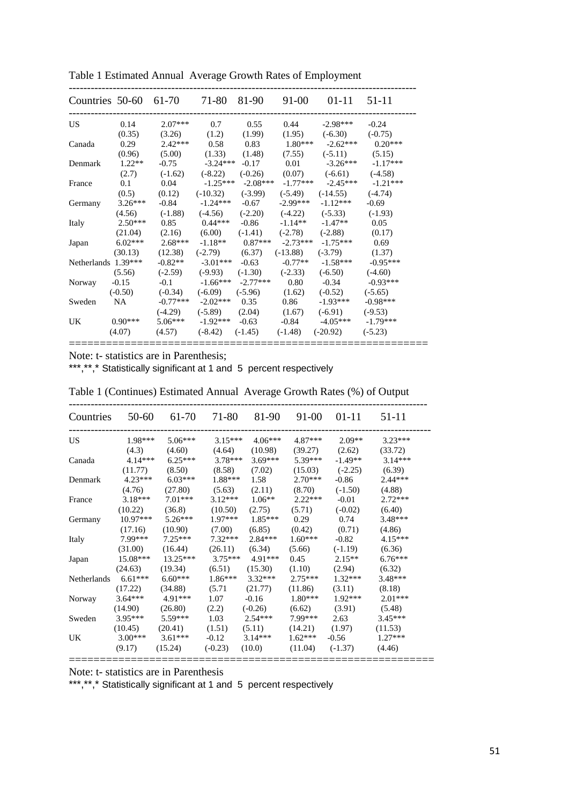| Countries 50-60 61-70 71-80 81-90 |           |           |                               |                       | 91-00                         |                       | $01-11$ 51-11 |
|-----------------------------------|-----------|-----------|-------------------------------|-----------------------|-------------------------------|-----------------------|---------------|
| US                                | 0.14      | $2.07***$ | 0.7                           | 0.55                  | 0.44                          | $-2.98***$            | $-0.24$       |
|                                   | (0.35)    | (3.26)    | (1.2)                         | (1.99)                | (1.95)                        | $(-6.30)$             | $(-0.75)$     |
| Canada                            | 0.29      | $2.42***$ | 0.58                          | 0.83                  |                               | $1.80***$ $-2.62***$  | $0.20***$     |
|                                   | (0.96)    | (5.00)    | (1.33)                        | (1.48)                | (7.55)                        | $(-5.11)$ $(5.15)$    |               |
| Denmark                           | $1.22**$  | $-0.75$   | $-3.24***$                    | $-0.17$               | 0.01                          | $-3.26***$            | $-1.17***$    |
|                                   | (2.7)     |           | $(-1.62)$ $(-8.22)$ $(-0.26)$ |                       |                               | $(0.07)$ $(-6.61)$    | $(-4.58)$     |
| France                            | 0.1       | 0.04      |                               | $-1.25***$ $-2.08***$ |                               | $-1.77***$ $-2.45***$ | $-1.21***$    |
|                                   | (0.5)     |           | $(0.12)$ $(-10.32)$           | $(-3.99)$             | $(-5.49)$                     | $(-14.55)$            | $(-4.74)$     |
| Germany                           | $3.26***$ | $-0.84$   | $-1.24***$                    | $-0.67$               | $-2.99***$                    | $-1.12***$            | $-0.69$       |
|                                   | (4.56)    | $(-1.88)$ |                               |                       | $(-4.56)$ $(-2.20)$ $(-4.22)$ | $(-5.33)$             | $(-1.93)$     |
| Italy                             | $2.50***$ | 0.85      | $0.44***$                     | $-0.86$               | $-1.14**$                     | $-1.47**$             | 0.05          |
|                                   | (21.04)   |           | $(2.16)$ $(6.00)$             |                       | $(-1.41)$ $(-2.78)$           | $(-2.88)$             | (0.17)        |
| Japan                             | $6.02***$ | $2.68***$ |                               | $-1.18**$ 0.87***     |                               | $-2.73***$ $-1.75***$ | 0.69          |
|                                   | (30.13)   | (12.38)   |                               |                       | $(-2.79)$ $(6.37)$ $(-13.88)$ | $(-3.79)$             | (1.37)        |
| Netherlands $1.39***$             |           | $-0.82**$ | $-3.01***$                    | $-0.63$               | $-0.77**$                     | $-1.58***$            | $-0.95***$    |
|                                   | (5.56)    | $(-2.59)$ |                               |                       | $(-9.93)$ $(-1.30)$ $(-2.33)$ | $(-6.50)$             | $(-4.60)$     |
| Norway                            | $-0.15$   | $-0.1$    | $-1.66***$ $-2.77***$         |                       | 0.80                          | $-0.34$               | $-0.93***$    |
|                                   | $(-0.50)$ | $(-0.34)$ | $(-6.09)$                     | $(-5.96)$             | (1.62)                        | $(-0.52)$             | $(-5.65)$     |
| Sweden                            | NA –      |           | $-0.77***$ $-2.02***$ 0.35    |                       | 0.86                          | $-1.93***$            | $-0.98***$    |
|                                   |           | $(-4.29)$ | $(-5.89)$ $(2.04)$            |                       | (1.67)                        | $(-6.91)$             | $(-9.53)$     |
| UK                                | $0.90***$ | $5.06***$ | $-1.92***$                    | $-0.63$               | $-0.84$                       | $-4.05***$            | -1.79***      |
|                                   | (4.07)    | (4.57)    |                               |                       | $(-8.42)$ $(-1.45)$ $(-1.48)$ | $(-20.92)$            | $(-5.23)$     |

Table 1 Estimated Annual Average Growth Rates of Employment

Note: t- statistics are in Parenthesis;

\*\*\*,\*\*,\* Statistically significant at 1 and 5 percent respectively

| Countries     | 50-60      | 61-70      | 71-80     | 81-90               | 91-00     | $01 - 11$ | 51-11     |  |
|---------------|------------|------------|-----------|---------------------|-----------|-----------|-----------|--|
| US            | $1.98***$  | $5.06***$  | $3.15***$ | $4.06***$           | 4.87***   | $2.09**$  | $3.23***$ |  |
|               | (4.3)      | (4.60)     | (4.64)    | (10.98)             | (39.27)   | (2.62)    | (33.72)   |  |
| Canada        | $4.14***$  | $6.25***$  | $3.78***$ | $3.69***$           | $5.39***$ | $-1.49**$ | $3.14***$ |  |
|               | (11.77)    | (8.50)     | (8.58)    | (7.02)              | (15.03)   | $(-2.25)$ | (6.39)    |  |
| Denmark       | $4.23***$  | $6.03***$  | $1.88***$ | 1.58                | $2.70***$ | -0.86     | $2.44***$ |  |
|               | (4.76)     | (27.80)    | (5.63)    | (2.11)              | (8.70)    | $(-1.50)$ | (4.88)    |  |
| France        | $3.18***$  | $7.01***$  |           | $3.12***$ $1.06**$  | $2.22***$ | $-0.01$   | $2.72***$ |  |
|               | (10.22)    | (36.8)     | (10.50)   | (2.75)              | (5.71)    | $(-0.02)$ | (6.40)    |  |
| Germany       | $10.97***$ | $5.26***$  | $1.97***$ | $1.85***$           | 0.29      | 0.74      | $3.48***$ |  |
|               | (17.16)    | (10.90)    | (7.00)    | (6.85)              | (0.42)    | (0.71)    | (4.86)    |  |
| Italy         | 7.99***    | $7.25***$  | $7.32***$ | $2.84***$           | $1.60***$ | $-0.82$   | $4.15***$ |  |
|               | (31.00)    | (16.44)    | (26.11)   | (6.34)              | (5.66)    | $(-1.19)$ | (6.36)    |  |
| Japan         | $15.08***$ | $13.25***$ |           | $3.75***$ $4.91***$ | 0.45      | $2.15**$  | $6.76***$ |  |
|               | (24.63)    | (19.34)    | (6.51)    | (15.30)             | (1.10)    | (2.94)    | (6.32)    |  |
| Netherlands   | $6.61***$  | $6.60***$  | $1.86***$ | $3.32***$           | $2.75***$ | $1.32***$ | $3.48***$ |  |
|               | (17.22)    | (34.88)    | (5.71)    | (21.77)             | (11.86)   | (3.11)    | (8.18)    |  |
| <b>Norway</b> | $3.64***$  | 4.91***    | 1.07      | $-0.16$             | $1.80***$ | $1.92***$ | $2.01***$ |  |
|               | (14.90)    | (26.80)    | (2.2)     | $(-0.26)$           | (6.62)    | (3.91)    | (5.48)    |  |
| Sweden        | $3.95***$  | $5.59***$  | 1.03      | $2.54***$           | 7.99***   | 2.63      | $3.45***$ |  |
|               | (10.45)    | (20.41)    | (1.51)    | (5.11)              | (14.21)   | (1.97)    | (11.53)   |  |
| UK.           | $3.00***$  | $3.61***$  | $-0.12$   | $3.14***$           | $1.62***$ | $-0.56$   | $1.27***$ |  |
|               | (9.17)     | (15.24)    | $(-0.23)$ | (10.0)              | (11.04)   | $(-1.37)$ | (4.46)    |  |

Table 1 (Continues) Estimated Annual Average Growth Rates (%) of Output

--------------------------------------------------------------------------------------------------

Note: t- statistics are in Parenthesis

\*\*\*,\*\*,\* Statistically significant at 1 and 5 percent respectively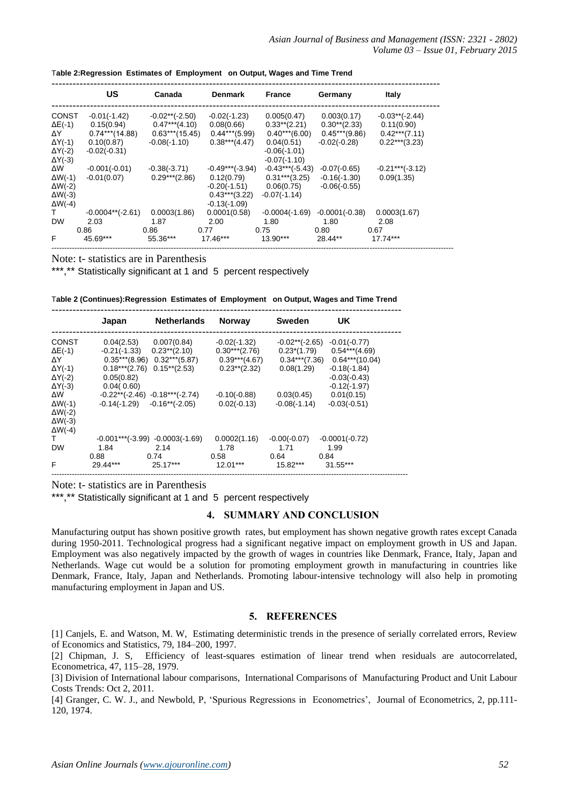|                 | US                 | Canada           | <b>Denmark</b>    | <b>France</b>     | Germany          | <b>Italy</b>      |
|-----------------|--------------------|------------------|-------------------|-------------------|------------------|-------------------|
| <b>CONST</b>    | $-0.01(-1.42)$     | $-0.02**(-2.50)$ | $-0.02(-1.23)$    | 0.005(0.47)       | 0.003(0.17)      | $-0.03**(-2.44)$  |
| $\Delta E(-1)$  | 0.15(0.94)         | $0.47***$ (4.10) | 0.08(0.66)        | $0.33**$ (2.21)   | $0.30**$ (2.33)  | 0.11(0.90)        |
| ΔY.             | $0.74***$ (14.88)  | $0.63***(15.45)$ | $0.44***$ (5.99)  | $0.40***(6.00)$   | $0.45***$ (9.86) | $0.42***$ (7.11)  |
| $\Delta Y$ (-1) | 0.10(0.87)         | $-0.08(-1.10)$   | $0.38***$ (4.47)  | 0.04(0.51)        | $-0.02(-0.28)$   | $0.22***$ (3.23)  |
| $\Delta Y$ (-2) | $-0.02(-0.31)$     |                  |                   | $-0.06(-1.01)$    |                  |                   |
| $\Delta Y$ (-3) |                    |                  |                   | $-0.07(-1.10)$    |                  |                   |
| ΔW              | $-0.001(-0.01)$    | $-0.38(-3.71)$   | $-0.49***(-3.94)$ | $-0.43***(-5.43)$ | $-0.07(-0.65)$   | $-0.21***(-3.12)$ |
| $\Delta W(-1)$  | $-0.01(0.07)$      | $0.29***$ (2.86) | 0.12(0.79)        | $0.31***$ (3.25)  | $-0.16(-1.30)$   | 0.09(1.35)        |
| $\Delta W(-2)$  |                    |                  | $-0.20(-1.51)$    | 0.06(0.75)        | $-0.06(-0.55)$   |                   |
| $\Delta W(-3)$  |                    |                  | $0.43***$ (3.22)  | $-0.07(-1.14)$    |                  |                   |
| $\Delta W(-4)$  |                    |                  | $-0.13(-1.09)$    |                   |                  |                   |
| T.              | $-0.0004**(-2.61)$ | 0.0003(1.86)     | 0.0001(0.58)      | $-0.0004(-1.69)$  | $-0.0001(-0.38)$ | 0.0003(1.67)      |
| <b>DW</b>       | 2.03               | 1.87             | 2.00              | 1.80              | 1.80             | 2.08              |
|                 | 0.86               | 0.86             | 0.77              | 0.75              | 0.80             | 0.67              |
| F               | 45.69***           | 55.36***         | 17.46***          | $13.90***$        | 28.44**          | 17.74***          |

Note: t- statistics are in Parenthesis

\*\*\*,\*\* Statistically significant at 1 and 5 percent respectively

| Table 2 (Continues):Regression  Estimates of  Employment   on Output, Wages and Time Trend |  |  |  |  |  |  |
|--------------------------------------------------------------------------------------------|--|--|--|--|--|--|
|--------------------------------------------------------------------------------------------|--|--|--|--|--|--|

----------------------------------------------------------------------------------------------------

|                 | Japan            | <b>Netherlands</b>                 | <b>Norway</b>    | <b>Sweden</b>    | UK                                 |
|-----------------|------------------|------------------------------------|------------------|------------------|------------------------------------|
| <b>CONST</b>    | 0.04(2.53)       | 0.007(0.84)                        | $-0.02(-1.32)$   | $-0.02**(-2.65)$ | $-0.01(-0.77)$                     |
| $\Delta E$ (-1) |                  | $-0.21(-1.33)$ $0.23**$ (2.10)     | $0.30***$ (2.76) | $0.23*(1.79)$    | $0.54***$ (4.69)                   |
| ΔY              | $0.35***$ (8.96) | $0.32***(5.87)$                    | $0.39***$ (4.67) |                  | $0.34***$ (7.36) $0.64***$ (10.04) |
| $\Delta Y$ (-1) | $0.18***$ (2.76) | $0.15**$ (2.53)                    | $0.23**$ (2.32)  | 0.08(1.29)       | $-0.18(-1.84)$                     |
| $\Delta Y$ (-2) | 0.05(0.82)       |                                    |                  |                  | $-0.03(-0.43)$                     |
| $\Delta Y$ (-3) | 0.04(0.60)       |                                    |                  |                  | $-0.12(-1.97)$                     |
| ΔW              |                  | $-0.22**(-2.46)$ $-0.18***(-2.74)$ | $-0.10(-0.88)$   | 0.03(0.45)       | 0.01(0.15)                         |
| $\Delta W$ (-1) |                  | $-0.14(-1.29) -0.16**(-2.05)$      | $0.02(-0.13)$    | $-0.08(-1.14)$   | $-0.03(-0.51)$                     |
| $\Delta W(-2)$  |                  |                                    |                  |                  |                                    |
| $\Delta W(-3)$  |                  |                                    |                  |                  |                                    |
| $\Delta W(-4)$  |                  |                                    |                  |                  |                                    |
| T.              |                  | $-0.001***(-3.99) -0.0003(-1.69)$  | 0.0002(1.16)     | $-0.00(-0.07)$   | $-0.0001(-0.72)$                   |
| <b>DW</b>       | 1.84             | 2.14                               | 1.78             | 1.71             | 1.99                               |
|                 | 0.88             | 0.74                               | 0.58             | 0.64             | 0.84                               |
| F               | 29.44***         | $25.17***$                         | $12.01***$       | 15.82***         | $31.55***$                         |
|                 |                  |                                    |                  |                  |                                    |

Note: t- statistics are in Parenthesis

\*\*\*,\*\* Statistically significant at 1 and 5 percent respectively

### **4. SUMMARY AND CONCLUSION**

Manufacturing output has shown positive growth rates, but employment has shown negative growth rates except Canada during 1950-2011. Technological progress had a significant negative impact on employment growth in US and Japan. Employment was also negatively impacted by the growth of wages in countries like Denmark, France, Italy, Japan and Netherlands. Wage cut would be a solution for promoting employment growth in manufacturing in countries like Denmark, France, Italy, Japan and Netherlands. Promoting labour-intensive technology will also help in promoting manufacturing employment in Japan and US.

### **5. REFERENCES**

[1] Canjels, E. and Watson, M. W, Estimating deterministic trends in the presence of serially correlated errors, Review of Economics and Statistics, 79, 184–200, 1997.

[2] Chipman, J. S, Efficiency of least-squares estimation of linear trend when residuals are autocorrelated, Econometrica, 47, 115–28, 1979.

[3] Division of International labour comparisons, International Comparisons of Manufacturing Product and Unit Labour Costs Trends: Oct 2, 2011.

[4] Granger, C. W. J., and Newbold, P, 'Spurious Regressions in Econometrics', Journal of Econometrics, 2, pp.111- 120, 1974.